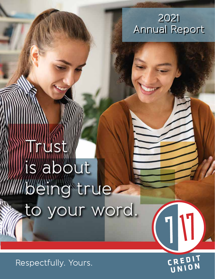**~U~l**  2021 Annual Report Annual Report

# ust is about Mbeing true to your word.

Respectfully. Yours.

CREDIT

TU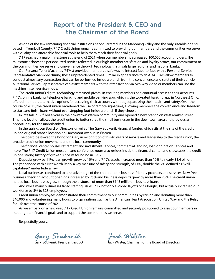## **Report of the President & CEO and the Chairman of the Board**

As one of the few remaining fnancial institutions headquartered in the Mahoning Valley and the only sizeable one still based in Trumbull County, 7 17 Credit Union remains committed to providing our members and the communities we serve with quality and affordable financial tools to help them reach their financial goals.

7 17 reached a major milestone at the end of 2021 when our membership surpassed 100,000 account holders. The milestone echoes the personalized service refected in our high member satisfaction and loyalty scores, our commitment to the communities we serve and convenience through technology that rivals large regional and national banks.

Our Personal Teller Machines (PTMs) provided members a safe way to interact face-to-face with a Personal Service Representative via video during these unprecedented times. Similar in appearance to an ATM, PTMs allow members to conduct almost any transaction that can be performed inside a branch from the convenience and safety of their vehicle. A Personal Service Representative can assist members with their transaction via two-way video or members can use the machine in self-service mode.

The credit union's digital technology remained pivotal in ensuring members had continual access to their accounts. 7 17's online banking, telephone banking and mobile banking app, which is the top-rated banking app in Northeast Ohio, ofered members alternative options for accessing their accounts without jeopardizing their health and safety. Over the course of 2021, the credit union broadened the use of remote signatures, allowing members the convenience and freedom to start and fnish loans without ever stepping foot inside a branch if they choose.

In late fall, 7 17 flled a void in the downtown Warren community and opened a new branch on West Market Street. This new location allows the credit union to better serve the small businesses in the downtown area and provides an opportunity for the underbanked.

In the spring, our Board of Directors unveiled The Gary Soukenik Financial Center, which sits at the site of the credit union's original branch location on Larchmont Avenue in Warren.

The board bestowed the honor on Gary in recognition of his 40 years of service and leadership to the credit union, the broader credit union movement and the local community.

The fnancial center houses retirement and investment services, commercial lending, loan origination services and more. The 7 17 Credit Union museum and conference room also resides inside the fnancial center and showcases the credit union's strong history of growth since its founding in 1957.

Deposits grew by 11%, loan growth grew by 10% and 7 17's assets increased more than 10% to nearly \$1.4 billion. The year ended with a Net Worth Ratio, a key measure of safety and strength, of 14%, double the 7% defned as "wellcapitalized" under federal law.

Local businesses continued to take advantage of the credit union's business-friendly products and services. New free business checking account openings increased by 25% and business deposits grew by more than 20%. The credit union helped local businesses grow through the disbursal of more than \$143 million in business loans.

And while many businesses faced staffing issues, 7 17 not only avoided layoffs or furloughs, but actually increased our workforce by 3% to 328 employees.

Credit union employees demonstrated their commitment to our communities by raising and donating more than \$40,000 and volunteering many hours to organizations such as the American Heart Association, United Way and the Relay for Life over the course of 2021.

As we embark on a new year, 7 17 Credit Union remains committed and securely positioned to assist our members in meeting their fnancial goals and to support the communities we serve.

Respectfully yours,

*Gary Soukenik Jack Wilster* 

Gary Soukenik, President & CEO Jack Wilster, Chairman of the Board of Directors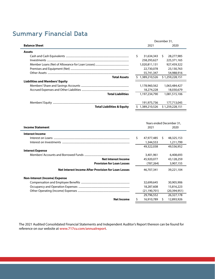# **Summary Financial Data**

|                                        |    | December 31,  |      |                  |  |  |
|----------------------------------------|----|---------------|------|------------------|--|--|
| <b>Balance Sheet</b>                   |    | 2021          | 2020 |                  |  |  |
| <b>Assets</b>                          |    |               |      |                  |  |  |
|                                        | Ś. | 31,634,343    | -S   | 28,277,985       |  |  |
|                                        |    | 258,293,627   |      | 225,371,165      |  |  |
|                                        |    | 1,020,811,131 |      | 927,459,322      |  |  |
|                                        |    | 22,730,078    |      | 23,130,763       |  |  |
|                                        |    | 55,741,347    |      | 54,988,916       |  |  |
| <b>Total Assets</b>                    |    | 1,389,210,526 |      | \$1,259,228,151  |  |  |
| <b>Liabilities and Members' Equity</b> |    |               |      |                  |  |  |
|                                        |    | 1,178,960,562 |      | 1,063,484,427    |  |  |
|                                        |    | 18,274,228    |      | 18,030,679       |  |  |
| <b>Total Liabilities</b>               |    | 1,197,234,790 |      | 1,081,515,106    |  |  |
|                                        |    | 191,975,736   |      | 177,713,045      |  |  |
| <b>Total Liabilities &amp; Equity</b>  |    | 1,389,210,526 |      | \$ 1.259.228.151 |  |  |

|                                                     |                  |    | Years ended December 31, |  |
|-----------------------------------------------------|------------------|----|--------------------------|--|
| <b>Income Statement</b>                             | 2021             |    | 2020                     |  |
| <b>Interest Income</b>                              |                  |    |                          |  |
|                                                     | \$<br>47,977,485 | S. | 48,325,153               |  |
|                                                     | 1,344,553        |    | 1,211,799                |  |
|                                                     | 49,322,038       |    | 49,536,952               |  |
| <b>Interest Expense</b>                             |                  |    |                          |  |
|                                                     | 3,401,961        |    | 6,408,693                |  |
| <b>Net Interest Income</b>                          | 45,920,077       |    | 43,128,259               |  |
| <b>Provision for Loan Losses</b>                    | (787, 264)       |    | 3,907,155                |  |
| Net Interest Income After Provision for Loan Losses | 46,707,341       |    | 39,221,104               |  |
| <b>Non-Interest (Income) Expense</b>                |                  |    |                          |  |
|                                                     | 32,699,645       |    | 30,905,906               |  |
|                                                     | 18,287,608       |    | 15,816,223               |  |
|                                                     | (21, 190, 701)   |    | (20, 394, 951)           |  |
|                                                     | 29,796,552       |    | 26,327,178               |  |
| <b>Net Income</b>                                   | \$<br>16,910,789 | s  | 12,893,926               |  |

The 2021 Audited Consolidated Financial Statements and Independent Auditor's Report thereon can be found for reference on our website at **<www.717cu.com/annualreport>**.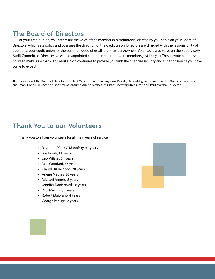# **The Board of Directors**

At your credit union, volunteers are the voice of the membership. Volunteers, elected by you, serve on your Board of Directors, which sets policy and oversees the direction of the credit union. Directors are charged with the responsibility of operating your credit union for the common good of us all, the members/owners. Volunteers also serve on the Supervisory Audit Committee. Directors, as well as appointed committee members, are members just like you. They devote countless hours to make sure that 7 17 Credit Union continues to provide you with the fnancial security and superior service you have come to expect.

The members of the Board of Directors are: Jack Wilster, chairman; Raymond "Corky" Manofsky, vice chairman; Joe Noark, second vice chairman; Cheryl DiGiacobbe, secretary/treasurer; Arlene Mathes, assistant secretary/treasurer; and Paul Marshall, director.

## **Thank You to our Volunteers**

Thank you to all our volunteers for all their years of service:

- Raymond "Corky" Manofsky, 51 years
- Joe Noark, 41 years
- Jack Wilster, 34 years
- Don Woodard, 33 years
- Cheryl DiGiacobbe, 20 years
- Arlene Mathes, 20 years
- Michael Anness, 8 years
- Jennifer Daniszewski, 8 years
- Paul Marshall, 5 years
- Robert Maiorano, 4 years
- George Papuga, 2 years

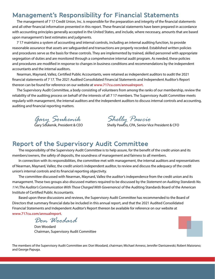#### **Management's Responsibility for Financial Statements**

The management of 7 17 Credit Union, Inc. is responsible for the preparation and integrity of the fnancial statements and all other fnancial information presented in this report. These fnancial statements have been prepared in accordance with accounting principles generally accepted in the United States, and include, where necessary, amounts that are based upon management's best estimates and judgments.

7 17 maintains a system of accounting and internal controls, including an internal auditing function, to provide reasonable assurance that assets are safeguarded and transactions are properly recorded. Established written policies and procedures serve as the basis for these controls. They are implemented by trained, skilled personnel with appropriate segregation of duties and are monitored through a comprehensive internal audit program. As needed, these policies and procedures are modifed in response to changes in business conditions and recommendations by the independent accountants and the internal auditors.

Nearman, Maynard, Vallez, Certifed Public Accountants, were retained as independent auditors to audit the 2021 fnancial statements of 7 17. The 2021 Audited Consolidated Financial Statements and Independent Auditor's Report thereon can be found for reference on our website at **<www.717cu.com/annualreport>**.

The Supervisory Audit Committee, a body consisting of volunteers from among the ranks of our membership, review the reliability of the auditing process on behalf of the interests of all 7 17 members. The Supervisory Audit Committee meets regularly with management, the internal auditors and the independent auditors to discuss internal controls and accounting, auditing and fnancial reporting matters.

*Gary Soukenik Shelly Pawcio*

Gary Soukenik, President & CEO Shelly Pawcio, CPA, Senior Vice President & CFO

#### **Report of the Supervisory Audit Committee**

The responsibility of the Supervisory Audit Committee is to help assure, for the beneft of the credit union and its members/owners, the safety of deposits, the soundness of management and fairness to all members.

In connection with its responsibilities, the committee met with management, the internal auditors and representatives of Nearman, Maynard, Vallez, the credit union's independent auditor, to review and discuss the adequacy of the credit union's internal controls and its fnancial reporting objectivity.

The committee discussed with Nearman, Maynard, Vallez the auditor's independence from the credit union and its management. These two groups also discussed matters required to be discussed by the *Statement on Auditing Standards No. 114 (The Auditor's Communication With Those Charged With Governance)* of the Auditing Standards Board of the American Institute of Certifed Public Accountants.

Based upon these discussions and reviews, the Supervisory Audit Committee has recommended to the Board of Directors that summary fnancial data be included in this annual report, and that the 2021 Audited Consolidated Financial Statements and Independent Auditor's Report thereon be available for reference on our website at **<www.717cu.com/annualreport>**.

*Don Woodard* 

Don Woodard Chairman, Supervisory Audit Committee



The members of the Supervisory Audit Committee are: Don Woodard, chairman; Michael Anness; Jennifer Daniszewski; Robert Maiorano; and George Papuga.